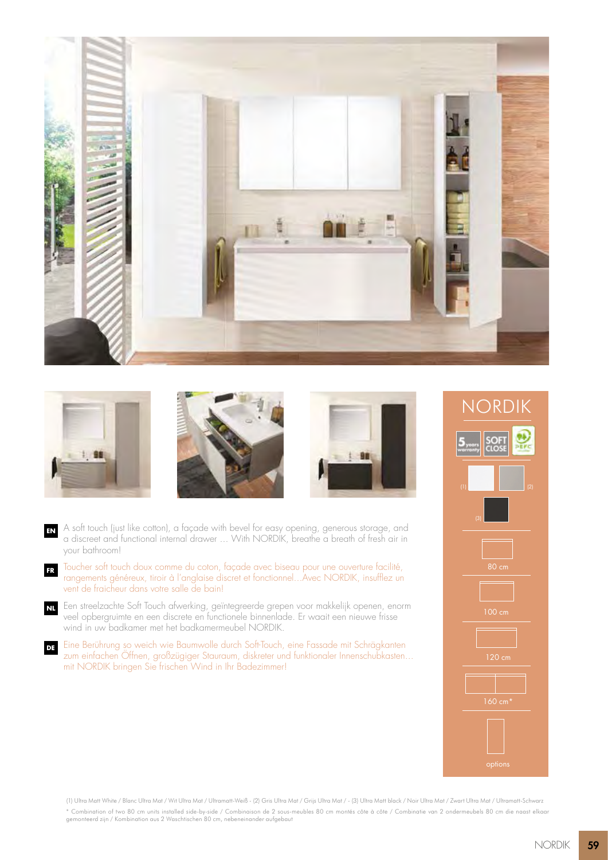







- **EN** A soft touch (just like cotton), a façade with bevel for easy opening, generous storage, and a discreet and functional internal drawer ... With NORDIK, breathe a breath of fresh air in your bathroom!
- **FR** Toucher soft touch doux comme du coton, façade avec biseau pour une ouverture facilité, rangements généreux, tiroir à l'anglaise discret et fonctionnel... Avec NORDIK, insufflez un vent de fraicheur dans votre salle de bain!
- **NL** Een streelzachte Soft Touch afwerking, geïntegreerde grepen voor makkelijk openen, enorm veel opbergruimte en een discrete en functionele binnenlade. Er waait een nieuwe frisse wind in uw badkamer met het badkamermeubel NORDIK.
- **DE** Eine Berührung so weich wie Baumwolle durch Soft-Touch, eine Fassade mit Schrägkanten zum einfachen Öffnen, großzügiger Stauraum, diskreter und funktionaler Innenschubkasten... mit NORDIK bringen Sie frischen Wind in Ihr Badezimmer!



(1) Ultra Matt White / Blanc Ultra Mat / Wit Ultra Mat / Ultramatt-Weiß - (2) Gris Ultra Mat / Grijs Ultra Mat / - (3) Ultra Matt black / Noir Ultra Mat / Zwart Ultra Mat / Ultramatt-Schwarz \* Combination of two 80 cm units installed side-by-side / Combinaison de 2 sous-meubles 80 cm montés côte à côte / Combinatie van 2 ondermeubels 80 cm die naast elkaar gemonteerd zijn / Kombination aus 2 Waschtischen 80 cm, nebeneinander aufgebaut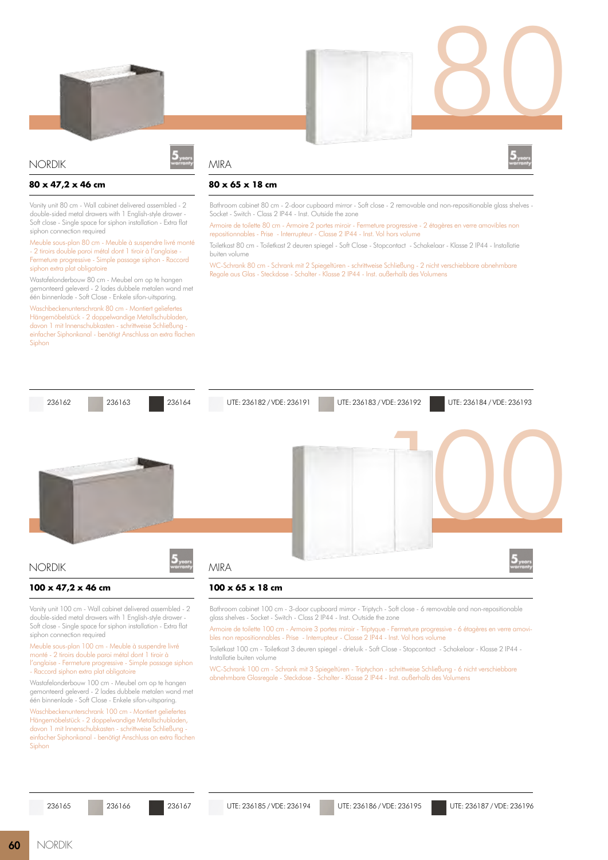

### NORDIK

### **80 x 47,2 x 46 cm**

Vanity unit 80 cm - Wall cabinet delivered assembled - 2 double-sided metal drawers with 1 English-style drawe Soft close - Single space for siphon installation - Extra flat siphon connection required

Meuble sous-plan 80 cm - Meuble à suspendre livré monté - 2 tiroirs double paroi métal dont 1 tiroir à l'anglaise - Fermeture progressive - Simple passage siphon - Raccord siphon extra plat obligatoire

Wastafelonderbouw 80 cm - Meubel om op te hangen gemonteerd geleverd - 2 lades dubbele metalen wand met één binnenlade - Soft Close - Enkele sifon-uitsparing.

Waschbeckenunterschrank 80 cm - Montiert geliefertes Hängemöbelstück - 2 doppelwandige Metallschubladen, davon 1 mit Innenschubkasten - schrittweise Schließung einfacher Siphonkanal - benötigt Anschluss an extra flachen Siphon

# MIRA



80

## **80 x 65 x 18 cm**

Bathroom cabinet 80 cm - 2-door cupboard mirror - Soft close - 2 removable and non-repositionable glass shelves - Socket - Switch - Class 2 IP44 - Inst. Outside the zone

Armoire de toilette 80 cm - Armoire 2 portes miroir - Fermeture progressive - 2 étagères en verre amovibles non repositionnables - Prise - Interrupteur - Classe 2 IP44 - Inst. Vol hors volume

Toiletkast 80 cm - Toiletkast 2 deuren spiegel - Soft Close - Stopcontact - Schakelaar - Klasse 2 IP44 - Installatie buiten volume

WC-Schrank 80 cm - Schrank mit 2 Spiegeltüren - schrittweise Schließung - 2 nicht verschiebbare abnehmbare Regale aus Glas - Steckdose - Schalter - Klasse 2 IP44 - Inst. außerhalb des Volumens



Vanity unit 100 cm - Wall cabinet delivered assembled - 2 double-sided metal drawers with 1 English-style drawer - Soft close - Single space for siphon installation - Extra flat siphon connection required

Meuble sous-plan 100 cm - Meuble à suspendre livré monté - 2 tiroirs double paroi métal dont 1 tiroir à l'anglaise - Fermeture progressive - Simple passage siphon - Raccord siphon extra plat obligatoire

Wastafelonderbouw 100 cm - Meubel om op te hangen gemonteerd geleverd - 2 lades dubbele metalen wand met één binnenlade - Soft Close - Enkele sifon-uitsparing.

Waschbeckenunterschrank 100 cm - Montiert geliefertes Hängemöbelstück - 2 doppelwandige Metallschubladen, davon 1 mit Innenschubkasten - schrittweise Schließung einfacher Siphonkanal - benötigt Anschluss an extra flachen **Siphon** 

Bathroom cabinet 100 cm - 3-door cupboard mirror - Triptych - Soft close - 6 removable and non-repositionable glass shelves - Socket - Switch - Class 2 IP44 - Inst. Outside the zone

Armoire de toilette 100 cm - Armoire 3 portes miroir - Triptyque - Fermeture progressive - 6 étagères en verre amovibles non repositionnables - Prise - Interrupteur - Classe 2 IP44 - Inst. Vol hors volume

Toiletkast 100 cm - Toiletkast 3 deuren spiegel - drieluik - Soft Close - Stopcontact - Schakelaar - Klasse 2 IP44 - Installatie buiten volume

WC-Schrank 100 cm - Schrank mit 3 Spiegeltüren - Triptychon - schrittweise Schließung - 6 nicht verschiebbare abnehmbare Glasregale - Steckdose - Schalter - Klasse 2 IP44 - Inst. außerhalb des Volumens

236167